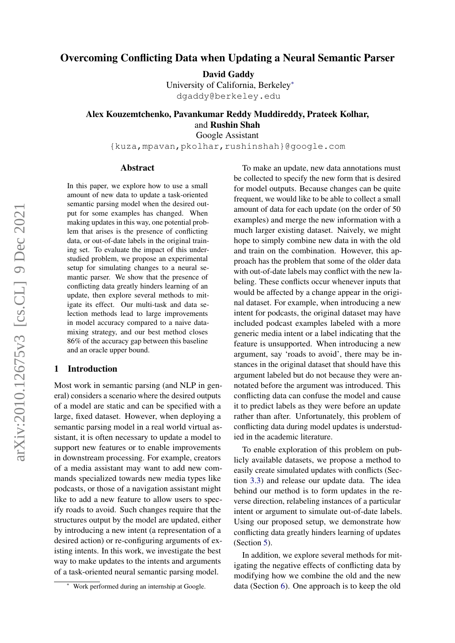# Overcoming Conflicting Data when Updating a Neural Semantic Parser

David Gaddy

University of California, Berkeley<sup>∗</sup> dgaddy@berkeley.edu

# Alex Kouzemtchenko, Pavankumar Reddy Muddireddy, Prateek Kolhar, and Rushin Shah

Google Assistant

{kuza,mpavan,pkolhar,rushinshah}@google.com

### Abstract

In this paper, we explore how to use a small amount of new data to update a task-oriented semantic parsing model when the desired output for some examples has changed. When making updates in this way, one potential problem that arises is the presence of conflicting data, or out-of-date labels in the original training set. To evaluate the impact of this understudied problem, we propose an experimental setup for simulating changes to a neural semantic parser. We show that the presence of conflicting data greatly hinders learning of an update, then explore several methods to mitigate its effect. Our multi-task and data selection methods lead to large improvements in model accuracy compared to a naive datamixing strategy, and our best method closes 86% of the accuracy gap between this baseline and an oracle upper bound.

### 1 Introduction

Most work in semantic parsing (and NLP in general) considers a scenario where the desired outputs of a model are static and can be specified with a large, fixed dataset. However, when deploying a semantic parsing model in a real world virtual assistant, it is often necessary to update a model to support new features or to enable improvements in downstream processing. For example, creators of a media assistant may want to add new commands specialized towards new media types like podcasts, or those of a navigation assistant might like to add a new feature to allow users to specify roads to avoid. Such changes require that the structures output by the model are updated, either by introducing a new intent (a representation of a desired action) or re-configuring arguments of existing intents. In this work, we investigate the best way to make updates to the intents and arguments of a task-oriented neural semantic parsing model.

To make an update, new data annotations must be collected to specify the new form that is desired for model outputs. Because changes can be quite frequent, we would like to be able to collect a small amount of data for each update (on the order of 50 examples) and merge the new information with a much larger existing dataset. Naively, we might hope to simply combine new data in with the old and train on the combination. However, this approach has the problem that some of the older data with out-of-date labels may conflict with the new labeling. These conflicts occur whenever inputs that would be affected by a change appear in the original dataset. For example, when introducing a new intent for podcasts, the original dataset may have included podcast examples labeled with a more generic media intent or a label indicating that the feature is unsupported. When introducing a new argument, say 'roads to avoid', there may be instances in the original dataset that should have this argument labeled but do not because they were annotated before the argument was introduced. This conflicting data can confuse the model and cause it to predict labels as they were before an update rather than after. Unfortunately, this problem of conflicting data during model updates is understudied in the academic literature.

To enable exploration of this problem on publicly available datasets, we propose a method to easily create simulated updates with conflicts (Section [3.3\)](#page-2-0) and release our update data. The idea behind our method is to form updates in the reverse direction, relabeling instances of a particular intent or argument to simulate out-of-date labels. Using our proposed setup, we demonstrate how conflicting data greatly hinders learning of updates (Section [5\)](#page-4-0).

In addition, we explore several methods for mitigating the negative effects of conflicting data by modifying how we combine the old and the new data (Section [6\)](#page-5-0). One approach is to keep the old

Work performed during an internship at Google.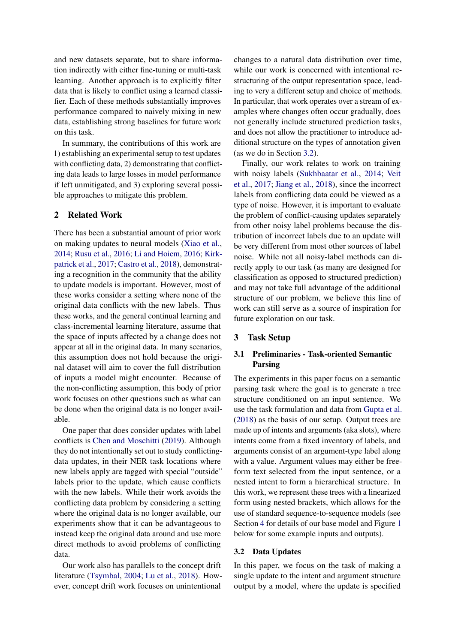and new datasets separate, but to share information indirectly with either fine-tuning or multi-task learning. Another approach is to explicitly filter data that is likely to conflict using a learned classifier. Each of these methods substantially improves performance compared to naively mixing in new data, establishing strong baselines for future work on this task.

In summary, the contributions of this work are 1) establishing an experimental setup to test updates with conflicting data, 2) demonstrating that conflicting data leads to large losses in model performance if left unmitigated, and 3) exploring several possible approaches to mitigate this problem.

# 2 Related Work

There has been a substantial amount of prior work on making updates to neural models [\(Xiao et al.,](#page-8-0) [2014;](#page-8-0) [Rusu et al.,](#page-8-1) [2016;](#page-8-1) [Li and Hoiem,](#page-8-2) [2016;](#page-8-2) [Kirk](#page-8-3)[patrick et al.,](#page-8-3) [2017;](#page-8-3) [Castro et al.,](#page-8-4) [2018\)](#page-8-4), demonstrating a recognition in the community that the ability to update models is important. However, most of these works consider a setting where none of the original data conflicts with the new labels. Thus these works, and the general continual learning and class-incremental learning literature, assume that the space of inputs affected by a change does not appear at all in the original data. In many scenarios, this assumption does not hold because the original dataset will aim to cover the full distribution of inputs a model might encounter. Because of the non-conflicting assumption, this body of prior work focuses on other questions such as what can be done when the original data is no longer available.

One paper that does consider updates with label conflicts is [Chen and Moschitti](#page-8-5) [\(2019\)](#page-8-5). Although they do not intentionally set out to study conflictingdata updates, in their NER task locations where new labels apply are tagged with special "outside" labels prior to the update, which cause conflicts with the new labels. While their work avoids the conflicting data problem by considering a setting where the original data is no longer available, our experiments show that it can be advantageous to instead keep the original data around and use more direct methods to avoid problems of conflicting data.

Our work also has parallels to the concept drift literature [\(Tsymbal,](#page-8-6) [2004;](#page-8-6) [Lu et al.,](#page-8-7) [2018\)](#page-8-7). However, concept drift work focuses on unintentional

changes to a natural data distribution over time, while our work is concerned with intentional restructuring of the output representation space, leading to very a different setup and choice of methods. In particular, that work operates over a stream of examples where changes often occur gradually, does not generally include structured prediction tasks, and does not allow the practitioner to introduce additional structure on the types of annotation given (as we do in Section [3.2\)](#page-1-0).

Finally, our work relates to work on training with noisy labels [\(Sukhbaatar et al.,](#page-8-8) [2014;](#page-8-8) [Veit](#page-8-9) [et al.,](#page-8-9) [2017;](#page-8-9) [Jiang et al.,](#page-8-10) [2018\)](#page-8-10), since the incorrect labels from conflicting data could be viewed as a type of noise. However, it is important to evaluate the problem of conflict-causing updates separately from other noisy label problems because the distribution of incorrect labels due to an update will be very different from most other sources of label noise. While not all noisy-label methods can directly apply to our task (as many are designed for classification as opposed to structured prediction) and may not take full advantage of the additional structure of our problem, we believe this line of work can still serve as a source of inspiration for future exploration on our task.

# 3 Task Setup

# 3.1 Preliminaries - Task-oriented Semantic Parsing

The experiments in this paper focus on a semantic parsing task where the goal is to generate a tree structure conditioned on an input sentence. We use the task formulation and data from [Gupta et al.](#page-8-11) [\(2018\)](#page-8-11) as the basis of our setup. Output trees are made up of intents and arguments (aka slots), where intents come from a fixed inventory of labels, and arguments consist of an argument-type label along with a value. Argument values may either be freeform text selected from the input sentence, or a nested intent to form a hierarchical structure. In this work, we represent these trees with a linearized form using nested brackets, which allows for the use of standard sequence-to-sequence models (see Section [4](#page-4-1) for details of our base model and Figure [1](#page-3-0) below for some example inputs and outputs).

### <span id="page-1-0"></span>3.2 Data Updates

In this paper, we focus on the task of making a single update to the intent and argument structure output by a model, where the update is specified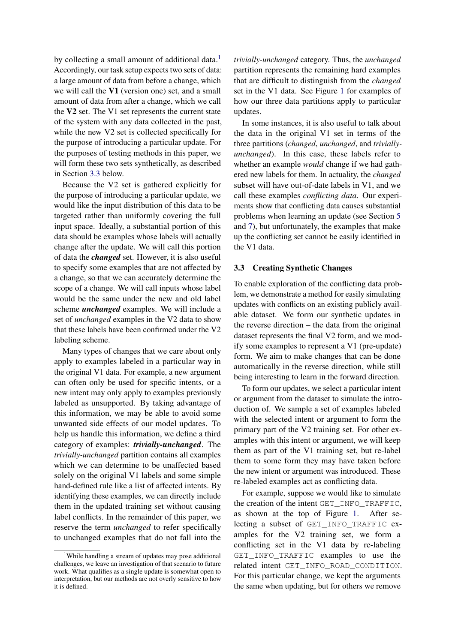by collecting a small amount of additional data.<sup>[1](#page-2-1)</sup> Accordingly, our task setup expects two sets of data: a large amount of data from before a change, which we will call the V1 (version one) set, and a small amount of data from after a change, which we call the V2 set. The V1 set represents the current state of the system with any data collected in the past, while the new V2 set is collected specifically for the purpose of introducing a particular update. For the purposes of testing methods in this paper, we will form these two sets synthetically, as described in Section [3.3](#page-2-0) below.

Because the V2 set is gathered explicitly for the purpose of introducing a particular update, we would like the input distribution of this data to be targeted rather than uniformly covering the full input space. Ideally, a substantial portion of this data should be examples whose labels will actually change after the update. We will call this portion of data the *changed* set. However, it is also useful to specify some examples that are not affected by a change, so that we can accurately determine the scope of a change. We will call inputs whose label would be the same under the new and old label scheme *unchanged* examples. We will include a set of *unchanged* examples in the V2 data to show that these labels have been confirmed under the V2 labeling scheme.

Many types of changes that we care about only apply to examples labeled in a particular way in the original V1 data. For example, a new argument can often only be used for specific intents, or a new intent may only apply to examples previously labeled as unsupported. By taking advantage of this information, we may be able to avoid some unwanted side effects of our model updates. To help us handle this information, we define a third category of examples: *trivially-unchanged*. The *trivially-unchanged* partition contains all examples which we can determine to be unaffected based solely on the original V1 labels and some simple hand-defined rule like a list of affected intents. By identifying these examples, we can directly include them in the updated training set without causing label conflicts. In the remainder of this paper, we reserve the term *unchanged* to refer specifically to unchanged examples that do not fall into the

*trivially-unchanged* category. Thus, the *unchanged* partition represents the remaining hard examples that are difficult to distinguish from the *changed* set in the V1 data. See Figure [1](#page-3-0) for examples of how our three data partitions apply to particular updates.

In some instances, it is also useful to talk about the data in the original V1 set in terms of the three partitions (*changed*, *unchanged*, and *triviallyunchanged*). In this case, these labels refer to whether an example *would* change if we had gathered new labels for them. In actuality, the *changed* subset will have out-of-date labels in V1, and we call these examples *conflicting data*. Our experiments show that conflicting data causes substantial problems when learning an update (see Section [5](#page-4-0) and [7\)](#page-6-0), but unfortunately, the examples that make up the conflicting set cannot be easily identified in the V1 data.

### <span id="page-2-0"></span>3.3 Creating Synthetic Changes

To enable exploration of the conflicting data problem, we demonstrate a method for easily simulating updates with conflicts on an existing publicly available dataset. We form our synthetic updates in the reverse direction – the data from the original dataset represents the final V2 form, and we modify some examples to represent a V1 (pre-update) form. We aim to make changes that can be done automatically in the reverse direction, while still being interesting to learn in the forward direction.

To form our updates, we select a particular intent or argument from the dataset to simulate the introduction of. We sample a set of examples labeled with the selected intent or argument to form the primary part of the V2 training set. For other examples with this intent or argument, we will keep them as part of the V1 training set, but re-label them to some form they may have taken before the new intent or argument was introduced. These re-labeled examples act as conflicting data.

For example, suppose we would like to simulate the creation of the intent GET\_INFO\_TRAFFIC, as shown at the top of Figure [1.](#page-3-0) After selecting a subset of GET\_INFO\_TRAFFIC examples for the V2 training set, we form a conflicting set in the V1 data by re-labeling GET\_INFO\_TRAFFIC examples to use the related intent GET\_INFO\_ROAD\_CONDITION. For this particular change, we kept the arguments the same when updating, but for others we remove

<span id="page-2-1"></span><sup>&</sup>lt;sup>1</sup>While handling a stream of updates may pose additional challenges, we leave an investigation of that scenario to future work. What qualifies as a single update is somewhat open to interpretation, but our methods are not overly sensitive to how it is defined.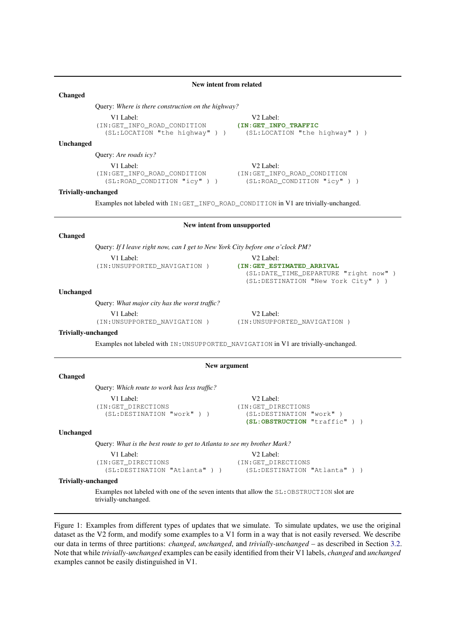### New intent from related

### <span id="page-3-0"></span>Changed

Query: *Where is there construction on the highway?*

| V1 Label:                      | V2 Label:              |  |  |  |
|--------------------------------|------------------------|--|--|--|
| (IN:GET INFO ROAD CONDITION    | (IN:GET INFO TRAFFIC   |  |  |  |
| $107.707$ $11.1$ $11.1$ $11.1$ | $107 - 7027$ $m + 017$ |  |  |  |

V2 Label: (SL:LOCATION "the highway" ) ) (SL:LOCATION "the highway" ) )

### Unchanged

Query: *Are roads icy?*

V1 Label:<br>
:GET INFO ROAD CONDITION (IN:GET INFO ROAD CONDITION (IN:GET\_INFO\_ROAD\_CONDITION (IN:GET\_INFO\_ROAD\_CONDITION (SL:ROAD\_CONDITION "icy"))  $(SL:ROAD\_COMDITION "icy" )$ 

### Trivially-unchanged

Examples not labeled with IN:GET\_INFO\_ROAD\_CONDITION in V1 are trivially-unchanged.

# New intent from unsupported

### Changed

Query: *If I leave right now, can I get to New York City before one o'clock PM?*

(IN:UNSUPPORTED NAVIGATION )

V1 Label:<br>V2 Label:<br>UNSUPPORTED NAVIGATION ) (IN:GET ESTIMATED ARRIVAL (SL:DATE\_TIME\_DEPARTURE "right now" ) (SL:DESTINATION "New York City" ) )

#### Unchanged

Query: *What major city has the worst traffic?* V2 Label: V2 Label: V2 Label: V2 Label: (IN:UNSUPPORTED\_NAVIGATION) (IN:UNSUPPO

(IN:UNSUPPORTED\_NAVIGATION ) (IN:UNSUPPORTED\_NAVIGATION )

### Trivially-unchanged

Examples not labeled with IN:UNSUPPORTED\_NAVIGATION in V1 are trivially-unchanged.

#### New argument

Changed

| Query: Which route to work has less traffic? |                          |
|----------------------------------------------|--------------------------|
| V1 Label:                                    | V <sub>2</sub> Label:    |
| (IN:GET DIRECTIONS                           | (IN:GET DIRECTIONS       |
| (SL:DESTINATION "work"))                     | (SL:DESTINATION "work")  |
|                                              | (SL:OBSTRUCTION "traffic |

#### Unchanged

Query: *What is the best route to get to Atlanta to see my brother Mark?*

```
V1 Label: V2 Label:
(IN:GET_DIRECTIONS (IN:GET_DIRECTIONS
```
(SL:DESTINATION "Atlanta" ) ) (SL:DESTINATION "Atlanta" ) )

(**SLI**)

#### Trivially-unchanged

Examples not labeled with one of the seven intents that allow the SL:OBSTRUCTION slot are trivially-unchanged.

Figure 1: Examples from different types of updates that we simulate. To simulate updates, we use the original dataset as the V2 form, and modify some examples to a V1 form in a way that is not easily reversed. We describe our data in terms of three partitions: *changed*, *unchanged*, and *trivially-unchanged* – as described in Section [3.2.](#page-1-0) Note that while *trivially-unchanged* examples can be easily identified from their V1 labels, *changed* and *unchanged* examples cannot be easily distinguished in V1.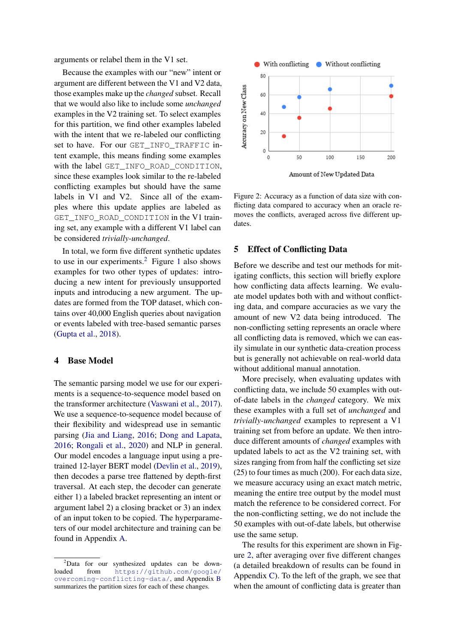arguments or relabel them in the V1 set.

Because the examples with our "new" intent or argument are different between the V1 and V2 data, those examples make up the *changed* subset. Recall that we would also like to include some *unchanged* examples in the V2 training set. To select examples for this partition, we find other examples labeled with the intent that we re-labeled our conflicting set to have. For our GET\_INFO\_TRAFFIC intent example, this means finding some examples with the label GET INFO ROAD CONDITION, since these examples look similar to the re-labeled conflicting examples but should have the same labels in V1 and V2. Since all of the examples where this update applies are labeled as GET\_INFO\_ROAD\_CONDITION in the V1 training set, any example with a different V1 label can be considered *trivially-unchanged*.

In total, we form five different synthetic updates to use in our experiments.<sup>[2](#page-4-2)</sup> Figure [1](#page-3-0) also shows examples for two other types of updates: introducing a new intent for previously unsupported inputs and introducing a new argument. The updates are formed from the TOP dataset, which contains over 40,000 English queries about navigation or events labeled with tree-based semantic parses [\(Gupta et al.,](#page-8-11) [2018\)](#page-8-11).

# <span id="page-4-1"></span>4 Base Model

The semantic parsing model we use for our experiments is a sequence-to-sequence model based on the transformer architecture [\(Vaswani et al.,](#page-8-12) [2017\)](#page-8-12). We use a sequence-to-sequence model because of their flexibility and widespread use in semantic parsing [\(Jia and Liang,](#page-8-13) [2016;](#page-8-13) [Dong and Lapata,](#page-8-14) [2016;](#page-8-14) [Rongali et al.,](#page-8-15) [2020\)](#page-8-15) and NLP in general. Our model encodes a language input using a pretrained 12-layer BERT model [\(Devlin et al.,](#page-8-16) [2019\)](#page-8-16), then decodes a parse tree flattened by depth-first traversal. At each step, the decoder can generate either 1) a labeled bracket representing an intent or argument label 2) a closing bracket or 3) an index of an input token to be copied. The hyperparameters of our model architecture and training can be found in Appendix [A.](#page-9-0)

<span id="page-4-3"></span>

Amount of New Updated Data

Figure 2: Accuracy as a function of data size with conflicting data compared to accuracy when an oracle removes the conflicts, averaged across five different updates.

# <span id="page-4-0"></span>5 Effect of Conflicting Data

Before we describe and test our methods for mitigating conflicts, this section will briefly explore how conflicting data affects learning. We evaluate model updates both with and without conflicting data, and compare accuracies as we vary the amount of new V2 data being introduced. The non-conflicting setting represents an oracle where all conflicting data is removed, which we can easily simulate in our synthetic data-creation process but is generally not achievable on real-world data without additional manual annotation.

More precisely, when evaluating updates with conflicting data, we include 50 examples with outof-date labels in the *changed* category. We mix these examples with a full set of *unchanged* and *trivially-unchanged* examples to represent a V1 training set from before an update. We then introduce different amounts of *changed* examples with updated labels to act as the V2 training set, with sizes ranging from from half the conflicting set size (25) to four times as much (200). For each data size, we measure accuracy using an exact match metric, meaning the entire tree output by the model must match the reference to be considered correct. For the non-conflicting setting, we do not include the 50 examples with out-of-date labels, but otherwise use the same setup.

The results for this experiment are shown in Figure [2,](#page-4-3) after averaging over five different changes (a detailed breakdown of results can be found in Appendix [C\)](#page-10-0). To the left of the graph, we see that when the amount of conflicting data is greater than

<span id="page-4-2"></span><sup>&</sup>lt;sup>2</sup>Data for our synthesized updates can be downloaded from [https://github.com/google/](https://github.com/google/overcoming-conflicting-data/) [overcoming-conflicting-data/](https://github.com/google/overcoming-conflicting-data/), and Appendix [B](#page-9-1) summarizes the partition sizes for each of these changes.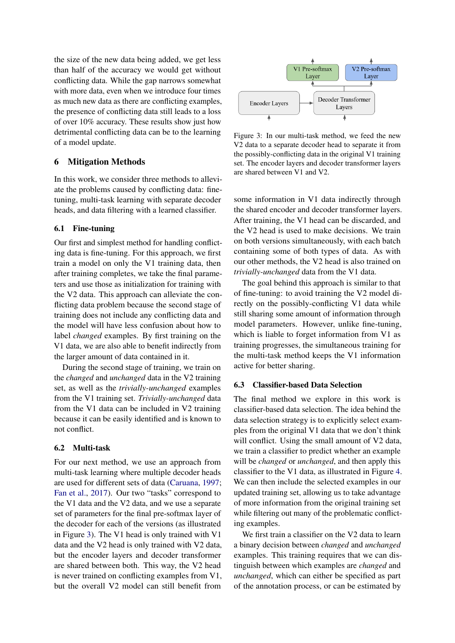the size of the new data being added, we get less than half of the accuracy we would get without conflicting data. While the gap narrows somewhat with more data, even when we introduce four times as much new data as there are conflicting examples, the presence of conflicting data still leads to a loss of over 10% accuracy. These results show just how detrimental conflicting data can be to the learning of a model update.

# <span id="page-5-0"></span>6 Mitigation Methods

In this work, we consider three methods to alleviate the problems caused by conflicting data: finetuning, multi-task learning with separate decoder heads, and data filtering with a learned classifier.

# 6.1 Fine-tuning

Our first and simplest method for handling conflicting data is fine-tuning. For this approach, we first train a model on only the V1 training data, then after training completes, we take the final parameters and use those as initialization for training with the V2 data. This approach can alleviate the conflicting data problem because the second stage of training does not include any conflicting data and the model will have less confusion about how to label *changed* examples. By first training on the V1 data, we are also able to benefit indirectly from the larger amount of data contained in it.

During the second stage of training, we train on the *changed* and *unchanged* data in the V2 training set, as well as the *trivially-unchanged* examples from the V1 training set. *Trivially-unchanged* data from the V1 data can be included in V2 training because it can be easily identified and is known to not conflict.

# 6.2 Multi-task

For our next method, we use an approach from multi-task learning where multiple decoder heads are used for different sets of data [\(Caruana,](#page-8-17) [1997;](#page-8-17) [Fan et al.,](#page-8-18) [2017\)](#page-8-18). Our two "tasks" correspond to the V1 data and the V2 data, and we use a separate set of parameters for the final pre-softmax layer of the decoder for each of the versions (as illustrated in Figure [3\)](#page-5-1). The V1 head is only trained with V1 data and the V2 head is only trained with V2 data, but the encoder layers and decoder transformer are shared between both. This way, the V2 head is never trained on conflicting examples from V1, but the overall V2 model can still benefit from

<span id="page-5-1"></span>

Figure 3: In our multi-task method, we feed the new V2 data to a separate decoder head to separate it from the possibly-conflicting data in the original V1 training set. The encoder layers and decoder transformer layers are shared between V1 and V2.

some information in V1 data indirectly through the shared encoder and decoder transformer layers. After training, the V1 head can be discarded, and the V2 head is used to make decisions. We train on both versions simultaneously, with each batch containing some of both types of data. As with our other methods, the V2 head is also trained on *trivially-unchanged* data from the V1 data.

The goal behind this approach is similar to that of fine-tuning: to avoid training the V2 model directly on the possibly-conflicting V1 data while still sharing some amount of information through model parameters. However, unlike fine-tuning, which is liable to forget information from V1 as training progresses, the simultaneous training for the multi-task method keeps the V1 information active for better sharing.

### <span id="page-5-2"></span>6.3 Classifier-based Data Selection

The final method we explore in this work is classifier-based data selection. The idea behind the data selection strategy is to explicitly select examples from the original V1 data that we don't think will conflict. Using the small amount of V2 data, we train a classifier to predict whether an example will be *changed* or *unchanged*, and then apply this classifier to the V1 data, as illustrated in Figure [4.](#page-6-1) We can then include the selected examples in our updated training set, allowing us to take advantage of more information from the original training set while filtering out many of the problematic conflicting examples.

We first train a classifier on the V2 data to learn a binary decision between *changed* and *unchanged* examples. This training requires that we can distinguish between which examples are *changed* and *unchanged*, which can either be specified as part of the annotation process, or can be estimated by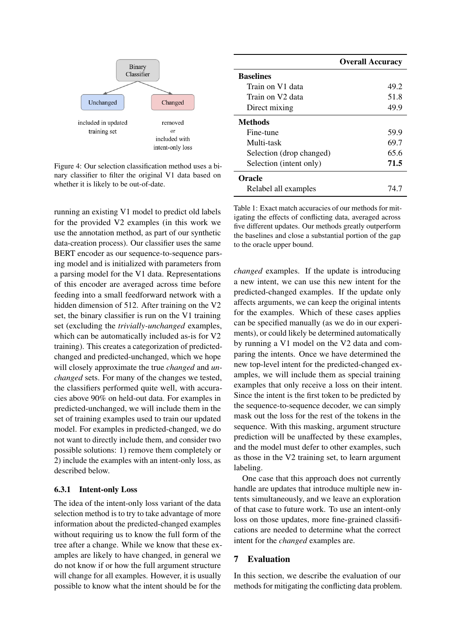<span id="page-6-1"></span>

Figure 4: Our selection classification method uses a binary classifier to filter the original V1 data based on whether it is likely to be out-of-date.

running an existing V1 model to predict old labels for the provided V2 examples (in this work we use the annotation method, as part of our synthetic data-creation process). Our classifier uses the same BERT encoder as our sequence-to-sequence parsing model and is initialized with parameters from a parsing model for the V1 data. Representations of this encoder are averaged across time before feeding into a small feedforward network with a hidden dimension of 512. After training on the V2 set, the binary classifier is run on the V1 training set (excluding the *trivially-unchanged* examples, which can be automatically included as-is for V2 training). This creates a categorization of predictedchanged and predicted-unchanged, which we hope will closely approximate the true *changed* and *unchanged* sets. For many of the changes we tested, the classifiers performed quite well, with accuracies above 90% on held-out data. For examples in predicted-unchanged, we will include them in the set of training examples used to train our updated model. For examples in predicted-changed, we do not want to directly include them, and consider two possible solutions: 1) remove them completely or 2) include the examples with an intent-only loss, as described below.

### 6.3.1 Intent-only Loss

The idea of the intent-only loss variant of the data selection method is to try to take advantage of more information about the predicted-changed examples without requiring us to know the full form of the tree after a change. While we know that these examples are likely to have changed, in general we do not know if or how the full argument structure will change for all examples. However, it is usually possible to know what the intent should be for the

<span id="page-6-2"></span>

|                          | <b>Overall Accuracy</b> |
|--------------------------|-------------------------|
| <b>Baselines</b>         |                         |
| Train on V1 data         | 49.2                    |
| Train on V2 data         | 51.8                    |
| Direct mixing            | 49.9                    |
| <b>Methods</b>           |                         |
| Fine-tune                | 59.9                    |
| Multi-task               | 69.7                    |
| Selection (drop changed) | 65.6                    |
| Selection (intent only)  | 71.5                    |
| <b>Oracle</b>            |                         |
| Relabel all examples     | 74.7                    |

Table 1: Exact match accuracies of our methods for mitigating the effects of conflicting data, averaged across five different updates. Our methods greatly outperform the baselines and close a substantial portion of the gap to the oracle upper bound.

*changed* examples. If the update is introducing a new intent, we can use this new intent for the predicted-changed examples. If the update only affects arguments, we can keep the original intents for the examples. Which of these cases applies can be specified manually (as we do in our experiments), or could likely be determined automatically by running a V1 model on the V2 data and comparing the intents. Once we have determined the new top-level intent for the predicted-changed examples, we will include them as special training examples that only receive a loss on their intent. Since the intent is the first token to be predicted by the sequence-to-sequence decoder, we can simply mask out the loss for the rest of the tokens in the sequence. With this masking, argument structure prediction will be unaffected by these examples, and the model must defer to other examples, such as those in the V2 training set, to learn argument labeling.

One case that this approach does not currently handle are updates that introduce multiple new intents simultaneously, and we leave an exploration of that case to future work. To use an intent-only loss on those updates, more fine-grained classifications are needed to determine what the correct intent for the *changed* examples are.

### <span id="page-6-0"></span>7 Evaluation

In this section, we describe the evaluation of our methods for mitigating the conflicting data problem.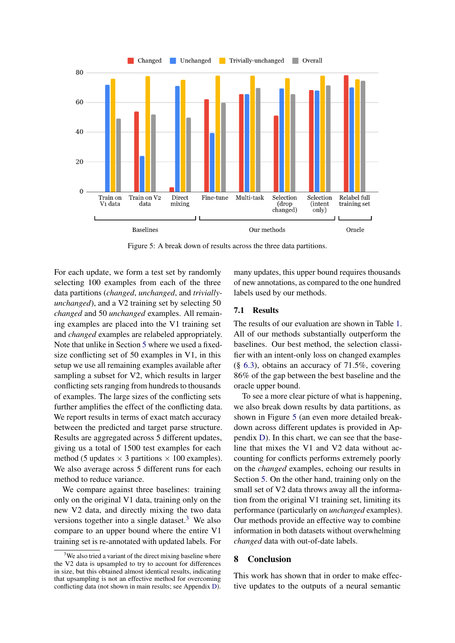<span id="page-7-1"></span>

Figure 5: A break down of results across the three data partitions.

For each update, we form a test set by randomly selecting 100 examples from each of the three data partitions (*changed*, *unchanged*, and *triviallyunchanged*), and a V2 training set by selecting 50 *changed* and 50 *unchanged* examples. All remaining examples are placed into the V1 training set and *changed* examples are relabeled appropriately. Note that unlike in Section [5](#page-4-0) where we used a fixedsize conflicting set of 50 examples in V1, in this setup we use all remaining examples available after sampling a subset for V2, which results in larger conflicting sets ranging from hundreds to thousands of examples. The large sizes of the conflicting sets further amplifies the effect of the conflicting data. We report results in terms of exact match accuracy between the predicted and target parse structure. Results are aggregated across 5 different updates, giving us a total of 1500 test examples for each method (5 updates  $\times$  3 partitions  $\times$  100 examples). We also average across 5 different runs for each method to reduce variance.

We compare against three baselines: training only on the original V1 data, training only on the new V2 data, and directly mixing the two data versions together into a single dataset.<sup>[3](#page-7-0)</sup> We also compare to an upper bound where the entire V1 training set is re-annotated with updated labels. For many updates, this upper bound requires thousands of new annotations, as compared to the one hundred labels used by our methods.

### 7.1 Results

The results of our evaluation are shown in Table [1.](#page-6-2) All of our methods substantially outperform the baselines. Our best method, the selection classifier with an intent-only loss on changed examples (§ [6.3\)](#page-5-2), obtains an accuracy of 71.5%, covering 86% of the gap between the best baseline and the oracle upper bound.

To see a more clear picture of what is happening, we also break down results by data partitions, as shown in Figure [5](#page-7-1) (an even more detailed breakdown across different updates is provided in Appendix [D\)](#page-11-0). In this chart, we can see that the baseline that mixes the V1 and V2 data without accounting for conflicts performs extremely poorly on the *changed* examples, echoing our results in Section [5.](#page-4-0) On the other hand, training only on the small set of V2 data throws away all the information from the original V1 training set, limiting its performance (particularly on *unchanged* examples). Our methods provide an effective way to combine information in both datasets without overwhelming *changed* data with out-of-date labels.

### 8 Conclusion

This work has shown that in order to make effective updates to the outputs of a neural semantic

<span id="page-7-0"></span> $3$ We also tried a variant of the direct mixing baseline where the V2 data is upsampled to try to account for differences in size, but this obtained almost identical results, indicating that upsampling is not an effective method for overcoming conflicting data (not shown in main results; see Appendix [D\)](#page-11-0).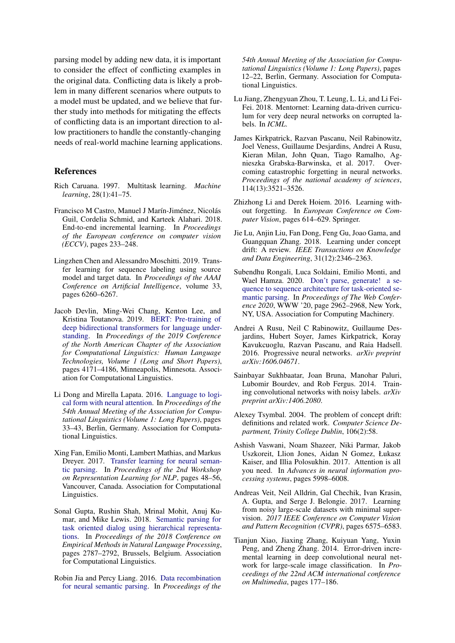parsing model by adding new data, it is important to consider the effect of conflicting examples in the original data. Conflicting data is likely a problem in many different scenarios where outputs to a model must be updated, and we believe that further study into methods for mitigating the effects of conflicting data is an important direction to allow practitioners to handle the constantly-changing needs of real-world machine learning applications.

### References

- <span id="page-8-17"></span>Rich Caruana. 1997. Multitask learning. *Machine learning*, 28(1):41–75.
- <span id="page-8-4"></span>Francisco M Castro, Manuel J Marín-Jiménez, Nicolás Guil, Cordelia Schmid, and Karteek Alahari. 2018. End-to-end incremental learning. In *Proceedings of the European conference on computer vision (ECCV)*, pages 233–248.
- <span id="page-8-5"></span>Lingzhen Chen and Alessandro Moschitti. 2019. Transfer learning for sequence labeling using source model and target data. In *Proceedings of the AAAI Conference on Artificial Intelligence*, volume 33, pages 6260–6267.
- <span id="page-8-16"></span>Jacob Devlin, Ming-Wei Chang, Kenton Lee, and Kristina Toutanova. 2019. [BERT: Pre-training of](https://doi.org/10.18653/v1/N19-1423) [deep bidirectional transformers for language under](https://doi.org/10.18653/v1/N19-1423)[standing.](https://doi.org/10.18653/v1/N19-1423) In *Proceedings of the 2019 Conference of the North American Chapter of the Association for Computational Linguistics: Human Language Technologies, Volume 1 (Long and Short Papers)*, pages 4171–4186, Minneapolis, Minnesota. Association for Computational Linguistics.
- <span id="page-8-14"></span>Li Dong and Mirella Lapata. 2016. [Language to logi](https://doi.org/10.18653/v1/P16-1004)[cal form with neural attention.](https://doi.org/10.18653/v1/P16-1004) In *Proceedings of the 54th Annual Meeting of the Association for Computational Linguistics (Volume 1: Long Papers)*, pages 33–43, Berlin, Germany. Association for Computational Linguistics.
- <span id="page-8-18"></span>Xing Fan, Emilio Monti, Lambert Mathias, and Markus Dreyer. 2017. [Transfer learning for neural seman](https://doi.org/10.18653/v1/W17-2607)[tic parsing.](https://doi.org/10.18653/v1/W17-2607) In *Proceedings of the 2nd Workshop on Representation Learning for NLP*, pages 48–56, Vancouver, Canada. Association for Computational Linguistics.
- <span id="page-8-11"></span>Sonal Gupta, Rushin Shah, Mrinal Mohit, Anuj Kumar, and Mike Lewis. 2018. [Semantic parsing for](https://doi.org/10.18653/v1/D18-1300) [task oriented dialog using hierarchical representa](https://doi.org/10.18653/v1/D18-1300)[tions.](https://doi.org/10.18653/v1/D18-1300) In *Proceedings of the 2018 Conference on Empirical Methods in Natural Language Processing*, pages 2787–2792, Brussels, Belgium. Association for Computational Linguistics.
- <span id="page-8-13"></span>Robin Jia and Percy Liang. 2016. [Data recombination](https://doi.org/10.18653/v1/P16-1002) [for neural semantic parsing.](https://doi.org/10.18653/v1/P16-1002) In *Proceedings of the*

*54th Annual Meeting of the Association for Computational Linguistics (Volume 1: Long Papers)*, pages 12–22, Berlin, Germany. Association for Computational Linguistics.

- <span id="page-8-10"></span>Lu Jiang, Zhengyuan Zhou, T. Leung, L. Li, and Li Fei-Fei. 2018. Mentornet: Learning data-driven curriculum for very deep neural networks on corrupted labels. In *ICML*.
- <span id="page-8-3"></span>James Kirkpatrick, Razvan Pascanu, Neil Rabinowitz, Joel Veness, Guillaume Desjardins, Andrei A Rusu, Kieran Milan, John Quan, Tiago Ramalho, Agnieszka Grabska-Barwinska, et al. 2017. Overcoming catastrophic forgetting in neural networks. *Proceedings of the national academy of sciences*, 114(13):3521–3526.
- <span id="page-8-2"></span>Zhizhong Li and Derek Hoiem. 2016. Learning without forgetting. In *European Conference on Computer Vision*, pages 614–629. Springer.
- <span id="page-8-7"></span>Jie Lu, Anjin Liu, Fan Dong, Feng Gu, Joao Gama, and Guangquan Zhang. 2018. Learning under concept drift: A review. *IEEE Transactions on Knowledge and Data Engineering*, 31(12):2346–2363.
- <span id="page-8-15"></span>Subendhu Rongali, Luca Soldaini, Emilio Monti, and Wael Hamza. 2020. [Don't parse, generate! a se](https://doi.org/10.1145/3366423.3380064)[quence to sequence architecture for task-oriented se](https://doi.org/10.1145/3366423.3380064)[mantic parsing.](https://doi.org/10.1145/3366423.3380064) In *Proceedings of The Web Conference 2020*, WWW '20, page 2962–2968, New York, NY, USA. Association for Computing Machinery.
- <span id="page-8-1"></span>Andrei A Rusu, Neil C Rabinowitz, Guillaume Desjardins, Hubert Soyer, James Kirkpatrick, Koray Kavukcuoglu, Razvan Pascanu, and Raia Hadsell. 2016. Progressive neural networks. *arXiv preprint arXiv:1606.04671*.
- <span id="page-8-8"></span>Sainbayar Sukhbaatar, Joan Bruna, Manohar Paluri, Lubomir Bourdev, and Rob Fergus. 2014. Training convolutional networks with noisy labels. *arXiv preprint arXiv:1406.2080*.
- <span id="page-8-6"></span>Alexey Tsymbal. 2004. The problem of concept drift: definitions and related work. *Computer Science Department, Trinity College Dublin*, 106(2):58.
- <span id="page-8-12"></span>Ashish Vaswani, Noam Shazeer, Niki Parmar, Jakob Uszkoreit, Llion Jones, Aidan N Gomez, Łukasz Kaiser, and Illia Polosukhin. 2017. Attention is all you need. In *Advances in neural information processing systems*, pages 5998–6008.
- <span id="page-8-9"></span>Andreas Veit, Neil Alldrin, Gal Chechik, Ivan Krasin, A. Gupta, and Serge J. Belongie. 2017. Learning from noisy large-scale datasets with minimal supervision. *2017 IEEE Conference on Computer Vision and Pattern Recognition (CVPR)*, pages 6575–6583.
- <span id="page-8-0"></span>Tianjun Xiao, Jiaxing Zhang, Kuiyuan Yang, Yuxin Peng, and Zheng Zhang. 2014. Error-driven incremental learning in deep convolutional neural network for large-scale image classification. In *Proceedings of the 22nd ACM international conference on Multimedia*, pages 177–186.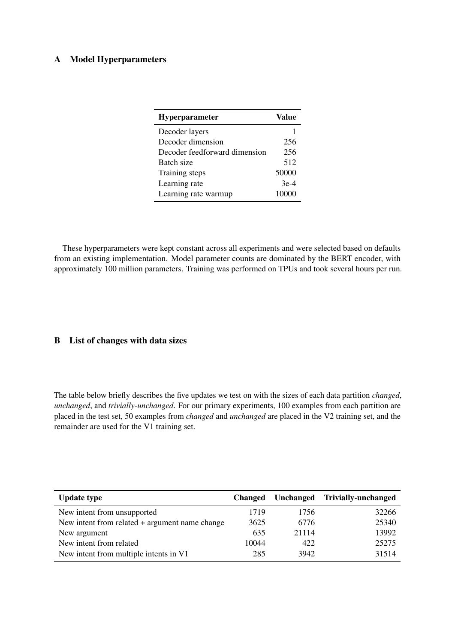# <span id="page-9-0"></span>A Model Hyperparameters

| <b>Hyperparameter</b>         | Value  |
|-------------------------------|--------|
| Decoder layers                |        |
| Decoder dimension             | 256    |
| Decoder feedforward dimension | 256    |
| Batch size                    | 512    |
| Training steps                | 50000  |
| Learning rate                 | $3e-4$ |
| Learning rate warmup          | 10000  |

These hyperparameters were kept constant across all experiments and were selected based on defaults from an existing implementation. Model parameter counts are dominated by the BERT encoder, with approximately 100 million parameters. Training was performed on TPUs and took several hours per run.

# <span id="page-9-1"></span>B List of changes with data sizes

The table below briefly describes the five updates we test on with the sizes of each data partition *changed*, *unchanged*, and *trivially-unchanged*. For our primary experiments, 100 examples from each partition are placed in the test set, 50 examples from *changed* and *unchanged* are placed in the V2 training set, and the remainder are used for the V1 training set.

| <b>Update type</b>                             | <b>Changed</b> |       | Unchanged Trivially-unchanged |
|------------------------------------------------|----------------|-------|-------------------------------|
| New intent from unsupported                    | 1719           | 1756  | 32266                         |
| New intent from related + argument name change | 3625           | 6776  | 25340                         |
| New argument                                   | 635            | 21114 | 13992                         |
| New intent from related                        | 10044          | 422   | 25275                         |
| New intent from multiple intents in V1         | 285            | 3942  | 31514                         |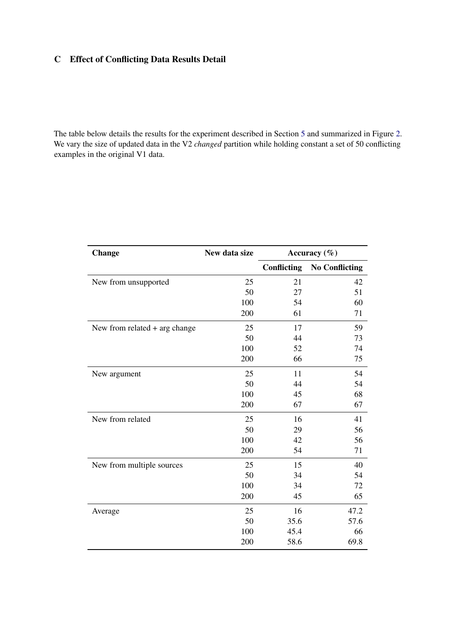# <span id="page-10-0"></span>C Effect of Conflicting Data Results Detail

The table below details the results for the experiment described in Section [5](#page-4-0) and summarized in Figure [2.](#page-4-3) We vary the size of updated data in the V2 *changed* partition while holding constant a set of 50 conflicting examples in the original V1 data.

| <b>Change</b>                 | New data size | Accuracy $(\% )$   |                       |  |  |
|-------------------------------|---------------|--------------------|-----------------------|--|--|
|                               |               | <b>Conflicting</b> | <b>No Conflicting</b> |  |  |
| New from unsupported          | 25            | 21                 | 42                    |  |  |
|                               | 50            | 27                 | 51                    |  |  |
|                               | 100           | 54                 | 60                    |  |  |
|                               | 200           | 61                 | 71                    |  |  |
| New from related + arg change | 25            | 17                 | 59                    |  |  |
|                               | 50            | 44                 | 73                    |  |  |
|                               | 100           | 52                 | 74                    |  |  |
|                               | 200           | 66                 | 75                    |  |  |
| New argument                  | 25            | 11                 | 54                    |  |  |
|                               | 50            | 44                 | 54                    |  |  |
|                               | 100           | 45                 | 68                    |  |  |
|                               | 200           | 67                 | 67                    |  |  |
| New from related              | 25            | 16                 | 41                    |  |  |
|                               | 50            | 29                 | 56                    |  |  |
|                               | 100           | 42                 | 56                    |  |  |
|                               | 200           | 54                 | 71                    |  |  |
| New from multiple sources     | 25            | 15                 | 40                    |  |  |
|                               | 50            | 34                 | 54                    |  |  |
|                               | 100           | 34                 | 72                    |  |  |
|                               | 200           | 45                 | 65                    |  |  |
| Average                       | 25            | 16                 | 47.2                  |  |  |
|                               | 50            | 35.6               | 57.6                  |  |  |
|                               | 100           | 45.4               | 66                    |  |  |
|                               | 200           | 58.6               | 69.8                  |  |  |